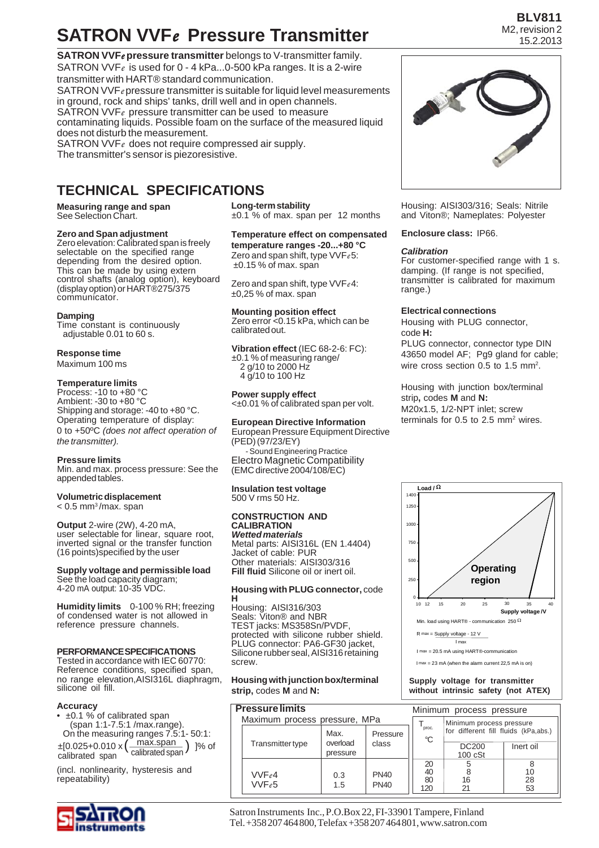## **SATRON VVF***e* **Pressure Transmitter**

**SATRON VVF***e* **pressure transmitter** belongs to V-transmitter family. SATRON VVF*e* is used for 0 - 4 kPa...0-500 kPa ranges. It is a 2-wire transmitter with HART® standard communication. SATRON VVF*e* pressure transmitter is suitable for liquid level measurements in ground, rock and ships' tanks, drill well and in open channels. SATRON VVF*e* pressure transmitter can be used to measure contaminating liquids. Possible foam on the surface of the measured liquid does not disturb the measurement.

SATRON VVF*e* does not require compressed air supply. The transmitter's sensor is piezoresistive.

### **TECHNICAL SPECIFICATIONS**

**Measuring range and span** See Selection Chart.

#### **Zero and Span adjustment**

Zero elevation: Calibrated span is freely selectable on the specified range depending from the desired option. This can be made by using extern control shafts (analog option), keyboard (display option) or HART®275/375 communicator.

#### **Damping**

Time constant is continuously adjustable 0.01 to 60 s.

#### **Response time**

Maximum 100 ms

#### **Temperature limits**

Process: -10 to +80 °C Ambient: -30 to +80 °C Shipping and storage: -40 to +80 °C. Operating temperature of display: 0 to +50ºC *(does not affect operation of the transmitter).*

#### **Pressure limits**

Min. and max. process pressure: See the appended tables.

#### **Volumetric displacement**

 $< 0.5$  mm<sup>3</sup>/max. span

**Output** 2-wire (2W), 4-20 mA, user selectable for linear, square root, inverted signal or the transfer function (16 points)specified by the user

#### **Supply voltage and permissible load** See the load capacity diagram;

4-20 mA output: 10-35 VDC.

**Humidity limits** 0-100 % RH; freezing of condensed water is not allowed in reference pressure channels.

#### **PERFORMANCE SPECIFICATIONS**

Tested in accordance with IEC 60770: Reference conditions, specified span, no range elevation,AISI316L diaphragm, silicone oil fill.

#### **Accuracy**

• ±0.1 % of calibrated span (span 1:1-7.5:1 /max.range). On the measuring ranges 7.5:1- 50:1:  $\pm [0.025 + 0.010 \times (\frac{max.span}{caltriangle Span})]$ % of calibrated span

(incl. nonlinearity, hysteresis and repeatability)



**Long-term stability** ±0.1 % of max. span per 12 months

**Temperature effect on compensated temperature ranges -20...+80 °C** Zero and span shift, type VVF*e* 5: ±0.15 % of max. span

Zero and span shift, type VVF*e* 4: ±0,25 % of max. span

**Mounting position effect** Zero error <0.15 kPa, which can be calibrated out.

**Vibration effect** (IEC 68-2-6: FC): ±0.1 % of measuring range/ 2 g/10 to 2000 Hz 4 g/10 to 100 Hz

#### **Power supply effect** <±0.01 % of calibrated span per volt.

**European Directive Information**

European Pressure Equipment Directive (PED) (97/23/EY) - Sound Engineering Practice Electro Magnetic Compatibility (EMC directive 2004/108/EC)

**Insulation test voltage** 500 V rms 50 Hz.

#### **CONSTRUCTION AND CALIBRATION** *Wetted materials*

Metal parts: AISI316L (EN 1.4404) Jacket of cable: PUR Other materials: AISI303/316 **Fill fluid** Silicone oil or inert oil.

#### **Housing with PLUG connector,** code

**H** Housing: AISI316/303 Seals: Viton® and NBR TEST jacks: MS358Sn/PVDF, protected with silicone rubber shield. PLUG connector: PA6-GF30 jacket, Silicone rubber seal, AISI316 retaining screw.

**Housing with junction box/terminal strip,** codes **M** and **N:**

### **Pressure limits**

|                               | <b>Pressure limits</b>  |                      | Minimum process pressure |             |                                      |           |
|-------------------------------|-------------------------|----------------------|--------------------------|-------------|--------------------------------------|-----------|
| Maximum process pressure, MPa |                         |                      |                          |             | Minimum process pressure             |           |
|                               |                         | Max.<br>Pressure     |                          | proc.<br>°C | for different fill fluids (kPa,abs.) |           |
|                               | <b>Transmitter type</b> | overload<br>pressure | class                    |             | <b>DC200</b><br>$100 \text{ cSt}$    | Inert oil |
|                               |                         |                      |                          | 20          | 5                                    |           |
|                               | VVFe4                   | 0.3                  | <b>PN40</b>              | 40          |                                      | 10        |
|                               | VVFe5                   | 1.5                  | <b>PN40</b>              | 80          | 16                                   | 28        |
|                               |                         |                      |                          | 120         | 21                                   | 53        |

Housing: AISI303/316; Seals: Nitrile and Viton®; Nameplates: Polyester

#### **Enclosure class:** IP66.

#### *Calibration*

For customer-specified range with 1 s. damping. (If range is not specified, transmitter is calibrated for maximum range.)

#### **Electrical connections**

Housing with PLUG connector, code **H:** PLUG connector, connector type DIN 43650 model AF; Pg9 gland for cable; wire cross section  $0.5$  to 1.5 mm<sup>2</sup>.

Housing with junction box/terminal strip**,** codes **M** and **N:** M20x1.5, 1/2-NPT inlet; screw terminals for  $0.5$  to  $2.5$  mm<sup>2</sup> wires.



**Supply voltage for transmitter without intrinsic safety (not ATEX)**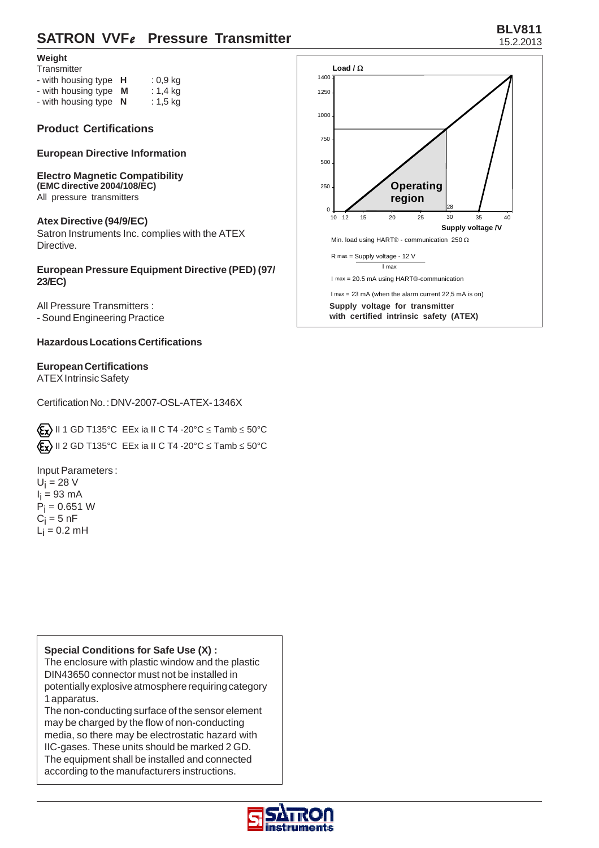## **BLV811 SATRON VVF***e* Pressure Transmitter 15.2.2013

#### **Weight**

| Transmitter |  |
|-------------|--|

| - with housing type H | $: 0, 9$ kg |
|-----------------------|-------------|
| - with housing type M | : 1,4 kg    |
| - with housing type N | $: 1, 5$ kg |

#### **Product Certifications**

**European Directive Information**

#### **Electro Magnetic Compatibility (EMC directive 2004/108/EC)** All pressure transmitters

#### **Atex Directive (94/9/EC)**

Satron Instruments Inc. complies with the ATEX Directive.

#### **European Pressure Equipment Directive (PED) (97/ 23/EC)**

All Pressure Transmitters : - Sound Engineering Practice

#### **Hazardous Locations Certifications**

#### **European Certifications**

ATEX Intrinsic Safety

Certification No. : DNV-2007-OSL-ATEX- 1346X

 $\langle \mathbf{\mathcal{E}} \mathbf{x} \rangle$  II 1 GD T135°C EEx ia II C T4 -20°C  $\leq$  Tamb  $\leq$  50°C  $\langle \mathbf{\mathcal{E}_{\mathbf{X}}} \rangle$  II 2 GD T135°C EEx ia II C T4 -20°C  $\leq$  Tamb  $\leq$  50°C

- Input Parameters :
- $U_i = 28$  V l<sub>i</sub> = 93 mA  $P_i = 0.651 W$  $\mathrm{C_{i}}$  = 5 nF  $L_i = 0.2$  mH

**Special Conditions for Safe Use (X) :**

The enclosure with plastic window and the plastic DIN43650 connector must not be installed in potentially explosive atmosphere requiring category 1 apparatus.

The non-conducting surface of the sensor element may be charged by the flow of non-conducting media, so there may be electrostatic hazard with IIC-gases. These units should be marked 2 GD. The equipment shall be installed and connected according to the manufacturers instructions.



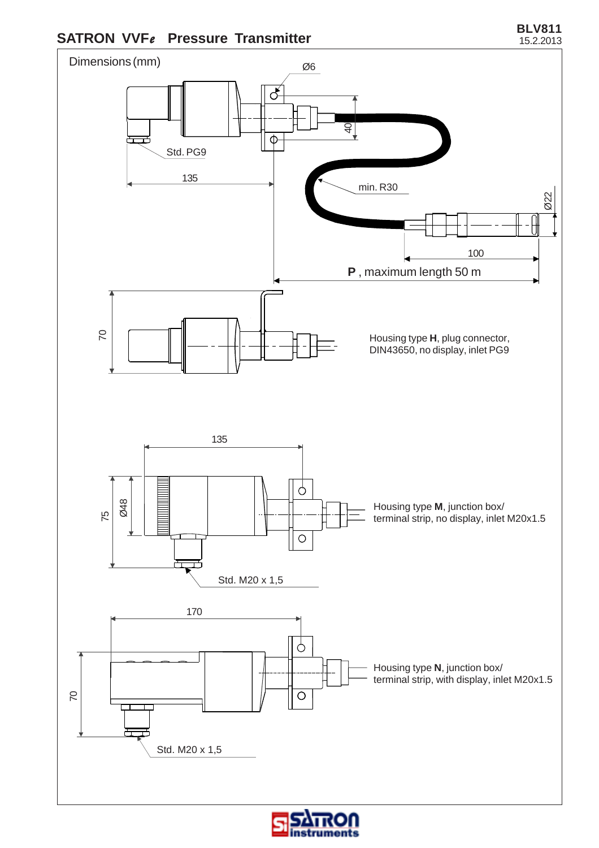# **SATRON VVFe** Pressure Transmitter **BLV811**



truments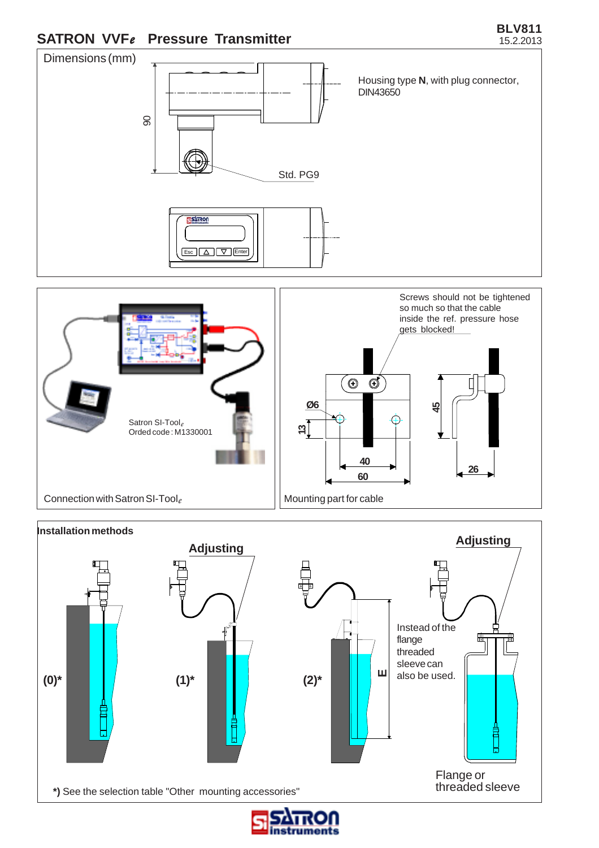

**BLV811**





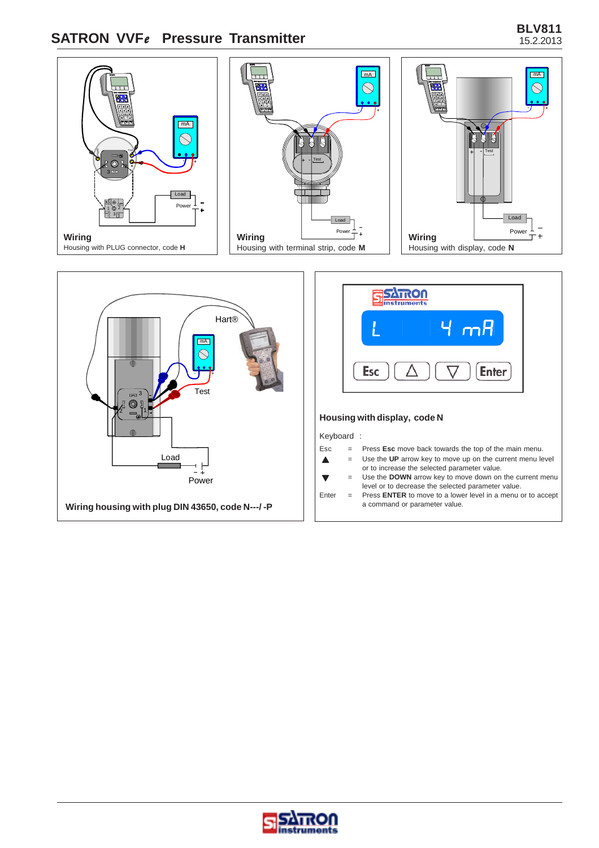# **SATRON VVF***e* **Pressure Transmitter BLV811**











#### **Housing with display, code N**

#### Keyboard :

 $\blacktriangle$  $\overline{\blacktriangledown}$ 

- Esc = Press **Esc** move back towards the top of the main menu.
	- = Use the **UP** arrow key to move up on the current menu level
	- or to increase the selected parameter value.
	- = Use the **DOWN** arrow key to move down on the current menu level or to decrease the selected parameter value.
- Enter = Press **ENTER** to move to a lower level in a menu or to accept<br>a command or parameter value.